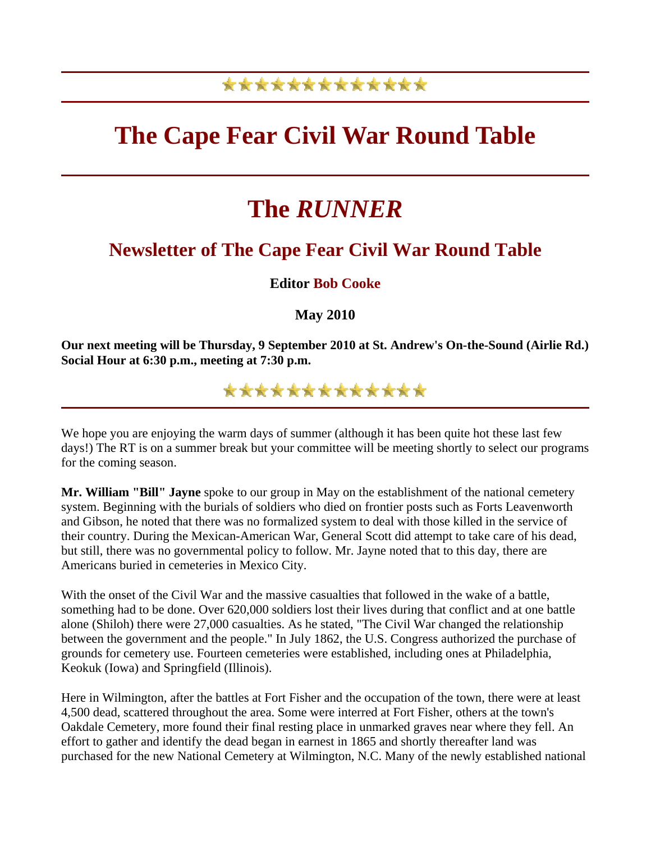## \*\*\*\*\*\*\*\*\*\*\*\*\*

## **The Cape Fear Civil War Round Table**

# **The** *RUNNER*

### **Newsletter of The Cape Fear Civil War Round Table**

### **Editor Bob Cooke**

**May 2010** 

**Our next meeting will be Thursday, 9 September 2010 at St. Andrew's On-the-Sound (Airlie Rd.) Social Hour at 6:30 p.m., meeting at 7:30 p.m.**

\*\*\*\*\*\*\*\*\*\*\*\*\*

We hope you are enjoying the warm days of summer (although it has been quite hot these last few days!) The RT is on a summer break but your committee will be meeting shortly to select our programs for the coming season.

**Mr. William "Bill" Jayne** spoke to our group in May on the establishment of the national cemetery system. Beginning with the burials of soldiers who died on frontier posts such as Forts Leavenworth and Gibson, he noted that there was no formalized system to deal with those killed in the service of their country. During the Mexican-American War, General Scott did attempt to take care of his dead, but still, there was no governmental policy to follow. Mr. Jayne noted that to this day, there are Americans buried in cemeteries in Mexico City.

With the onset of the Civil War and the massive casualties that followed in the wake of a battle, something had to be done. Over 620,000 soldiers lost their lives during that conflict and at one battle alone (Shiloh) there were 27,000 casualties. As he stated, "The Civil War changed the relationship between the government and the people." In July 1862, the U.S. Congress authorized the purchase of grounds for cemetery use. Fourteen cemeteries were established, including ones at Philadelphia, Keokuk (Iowa) and Springfield (Illinois).

Here in Wilmington, after the battles at Fort Fisher and the occupation of the town, there were at least 4,500 dead, scattered throughout the area. Some were interred at Fort Fisher, others at the town's Oakdale Cemetery, more found their final resting place in unmarked graves near where they fell. An effort to gather and identify the dead began in earnest in 1865 and shortly thereafter land was purchased for the new National Cemetery at Wilmington, N.C. Many of the newly established national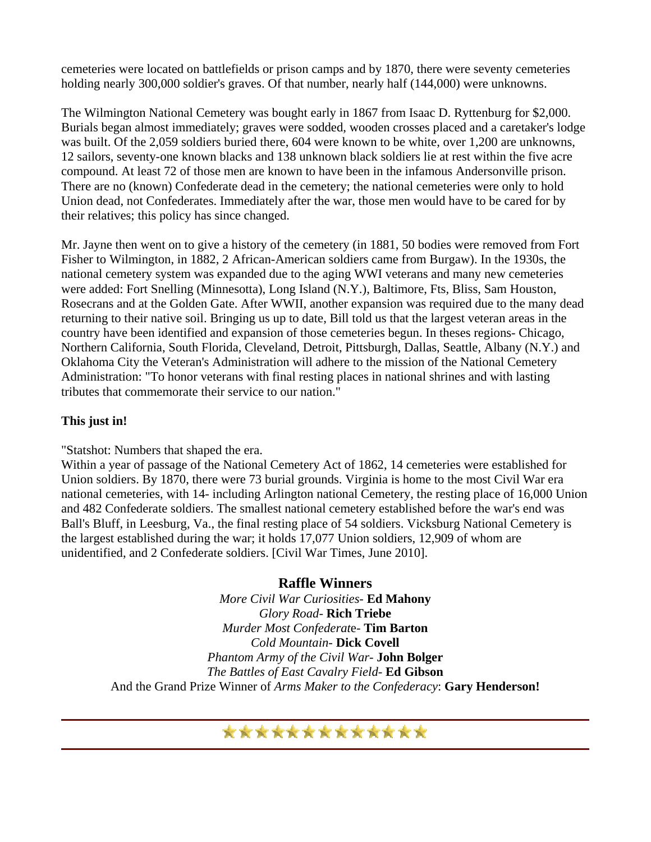cemeteries were located on battlefields or prison camps and by 1870, there were seventy cemeteries holding nearly 300,000 soldier's graves. Of that number, nearly half (144,000) were unknowns.

The Wilmington National Cemetery was bought early in 1867 from Isaac D. Ryttenburg for \$2,000. Burials began almost immediately; graves were sodded, wooden crosses placed and a caretaker's lodge was built. Of the 2,059 soldiers buried there, 604 were known to be white, over 1,200 are unknowns, 12 sailors, seventy-one known blacks and 138 unknown black soldiers lie at rest within the five acre compound. At least 72 of those men are known to have been in the infamous Andersonville prison. There are no (known) Confederate dead in the cemetery; the national cemeteries were only to hold Union dead, not Confederates. Immediately after the war, those men would have to be cared for by their relatives; this policy has since changed.

Mr. Jayne then went on to give a history of the cemetery (in 1881, 50 bodies were removed from Fort Fisher to Wilmington, in 1882, 2 African-American soldiers came from Burgaw). In the 1930s, the national cemetery system was expanded due to the aging WWI veterans and many new cemeteries were added: Fort Snelling (Minnesotta), Long Island (N.Y.), Baltimore, Fts, Bliss, Sam Houston, Rosecrans and at the Golden Gate. After WWII, another expansion was required due to the many dead returning to their native soil. Bringing us up to date, Bill told us that the largest veteran areas in the country have been identified and expansion of those cemeteries begun. In theses regions- Chicago, Northern California, South Florida, Cleveland, Detroit, Pittsburgh, Dallas, Seattle, Albany (N.Y.) and Oklahoma City the Veteran's Administration will adhere to the mission of the National Cemetery Administration: "To honor veterans with final resting places in national shrines and with lasting tributes that commemorate their service to our nation."

#### **This just in!**

"Statshot: Numbers that shaped the era.

Within a year of passage of the National Cemetery Act of 1862, 14 cemeteries were established for Union soldiers. By 1870, there were 73 burial grounds. Virginia is home to the most Civil War era national cemeteries, with 14- including Arlington national Cemetery, the resting place of 16,000 Union and 482 Confederate soldiers. The smallest national cemetery established before the war's end was Ball's Bluff, in Leesburg, Va., the final resting place of 54 soldiers. Vicksburg National Cemetery is the largest established during the war; it holds 17,077 Union soldiers, 12,909 of whom are unidentified, and 2 Confederate soldiers. [Civil War Times, June 2010].

#### **Raffle Winners**

*More Civil War Curiosities*- **Ed Mahony** *Glory Road*- **Rich Triebe** *Murder Most Confederat*e- **Tim Barton** *Cold Mountain*- **Dick Covell** *Phantom Army of the Civil War*- **John Bolger** *The Battles of East Cavalry Field*- **Ed Gibson** And the Grand Prize Winner of *Arms Maker to the Confederacy*: **Gary Henderson!**